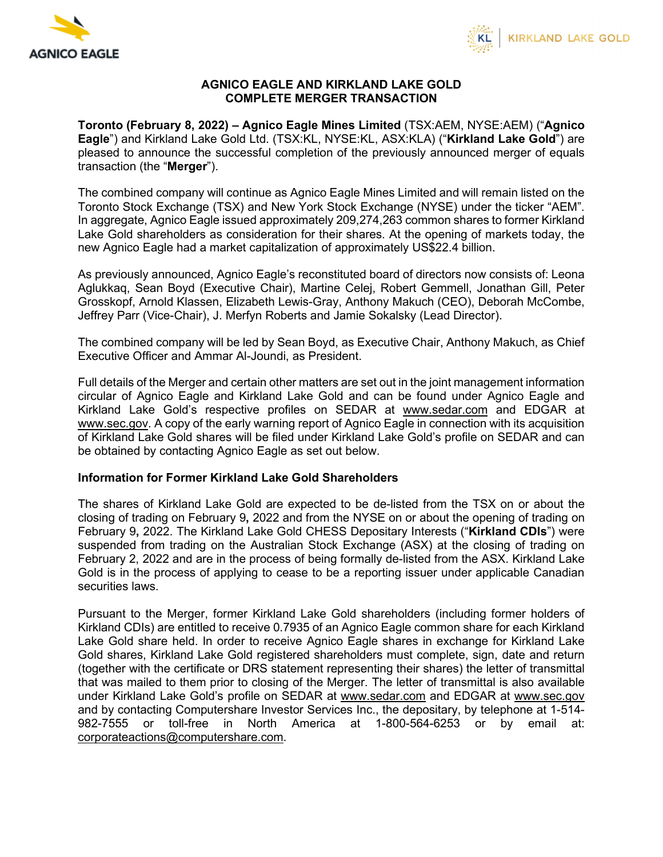



## **AGNICO EAGLE AND KIRKLAND LAKE GOLD COMPLETE MERGER TRANSACTION**

**Toronto (February 8, 2022) – Agnico Eagle Mines Limited** (TSX:AEM, NYSE:AEM) ("**Agnico Eagle**") and Kirkland Lake Gold Ltd. (TSX:KL, NYSE:KL, ASX:KLA) ("**Kirkland Lake Gold**") are pleased to announce the successful completion of the previously announced merger of equals transaction (the "**Merger**").

The combined company will continue as Agnico Eagle Mines Limited and will remain listed on the Toronto Stock Exchange (TSX) and New York Stock Exchange (NYSE) under the ticker "AEM". In aggregate, Agnico Eagle issued approximately 209,274,263 common shares to former Kirkland Lake Gold shareholders as consideration for their shares. At the opening of markets today, the new Agnico Eagle had a market capitalization of approximately US\$22.4 billion.

As previously announced, Agnico Eagle's reconstituted board of directors now consists of: Leona Aglukkaq, Sean Boyd (Executive Chair), Martine Celej, Robert Gemmell, Jonathan Gill, Peter Grosskopf, Arnold Klassen, Elizabeth Lewis-Gray, Anthony Makuch (CEO), Deborah McCombe, Jeffrey Parr (Vice-Chair), J. Merfyn Roberts and Jamie Sokalsky (Lead Director).

The combined company will be led by Sean Boyd, as Executive Chair, Anthony Makuch, as Chief Executive Officer and Ammar Al-Joundi, as President.

Full details of the Merger and certain other matters are set out in the joint management information circular of Agnico Eagle and Kirkland Lake Gold and can be found under Agnico Eagle and Kirkland Lake Gold's respective profiles on SEDAR at [www.sedar.com](http://www.sedar.com/) and EDGAR at [www.sec.gov.](http://www.sec.gov/) A copy of the early warning report of Agnico Eagle in connection with its acquisition of Kirkland Lake Gold shares will be filed under Kirkland Lake Gold's profile on SEDAR and can be obtained by contacting Agnico Eagle as set out below.

## **Information for Former Kirkland Lake Gold Shareholders**

The shares of Kirkland Lake Gold are expected to be de-listed from the TSX on or about the closing of trading on February 9**,** 2022 and from the NYSE on or about the opening of trading on February 9**,** 2022. The Kirkland Lake Gold CHESS Depositary Interests ("**Kirkland CDIs**") were suspended from trading on the Australian Stock Exchange (ASX) at the closing of trading on February 2, 2022 and are in the process of being formally de-listed from the ASX. Kirkland Lake Gold is in the process of applying to cease to be a reporting issuer under applicable Canadian securities laws.

Pursuant to the Merger, former Kirkland Lake Gold shareholders (including former holders of Kirkland CDIs) are entitled to receive 0.7935 of an Agnico Eagle common share for each Kirkland Lake Gold share held. In order to receive Agnico Eagle shares in exchange for Kirkland Lake Gold shares, Kirkland Lake Gold registered shareholders must complete, sign, date and return (together with the certificate or DRS statement representing their shares) the letter of transmittal that was mailed to them prior to closing of the Merger. The letter of transmittal is also available under Kirkland Lake Gold's profile on SEDAR at [www.sedar.com](http://www.sedar.com/) and EDGAR at [www.sec.gov](http://www.sec.gov/) and by contacting Computershare Investor Services Inc., the depositary, by telephone at 1-514- 982-7555 or toll-free in North America at 1-800-564-6253 or by email at: [corporateactions@computershare.com.](mailto:corporateactions@computershare.com)